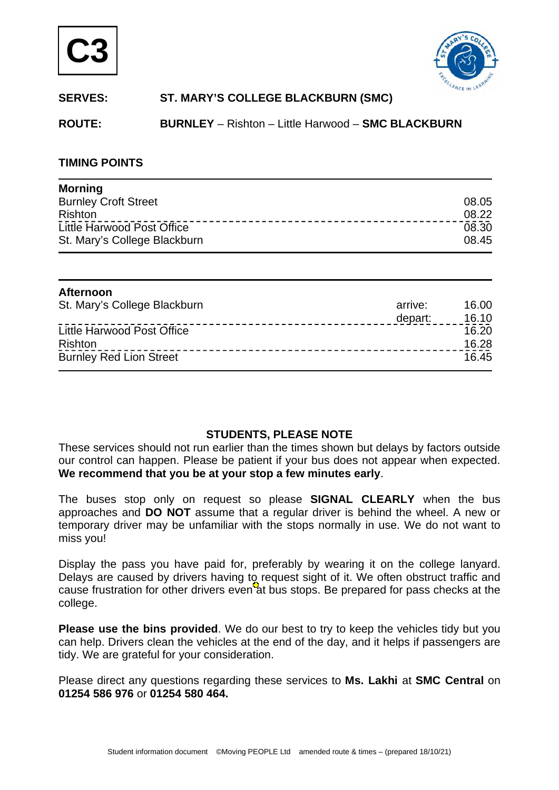



# **SERVES: ST. MARY'S COLLEGE BLACKBURN (SMC)**

**ROUTE: BURNLEY** – Rishton – Little Harwood – **SMC BLACKBURN** 

### **TIMING POINTS**

| <b>Morning</b>               |       |
|------------------------------|-------|
| <b>Burnley Croft Street</b>  | 08.05 |
| <b>Rishton</b>               | 08.22 |
| Little Harwood Post Office   | 08.30 |
| St. Mary's College Blackburn | 08.45 |

| Afternoon                      |         |       |
|--------------------------------|---------|-------|
| St. Mary's College Blackburn   | arrive: | 16.00 |
|                                | depart: | 16.10 |
| Little Harwood Post Office     |         | 16.20 |
| Rishton                        |         | 16.28 |
| <b>Burnley Red Lion Street</b> |         | 16.45 |

## **STUDENTS, PLEASE NOTE**

These services should not run earlier than the times shown but delays by factors outside our control can happen. Please be patient if your bus does not appear when expected. **We recommend that you be at your stop a few minutes early**.

The buses stop only on request so please **SIGNAL CLEARLY** when the bus approaches and **DO NOT** assume that a regular driver is behind the wheel. A new or temporary driver may be unfamiliar with the stops normally in use. We do not want to miss you!

Display the pass you have paid for, preferably by wearing it on the college lanyard. Delays are caused by drivers having to request sight of it. We often obstruct traffic and cause frustration for other drivers even at bus stops. Be prepared for pass checks at the college.

**Please use the bins provided**. We do our best to try to keep the vehicles tidy but you can help. Drivers clean the vehicles at the end of the day, and it helps if passengers are tidy. We are grateful for your consideration.

Please direct any questions regarding these services to **Ms. Lakhi** at **SMC Central** on **01254 586 976** or **01254 580 464.**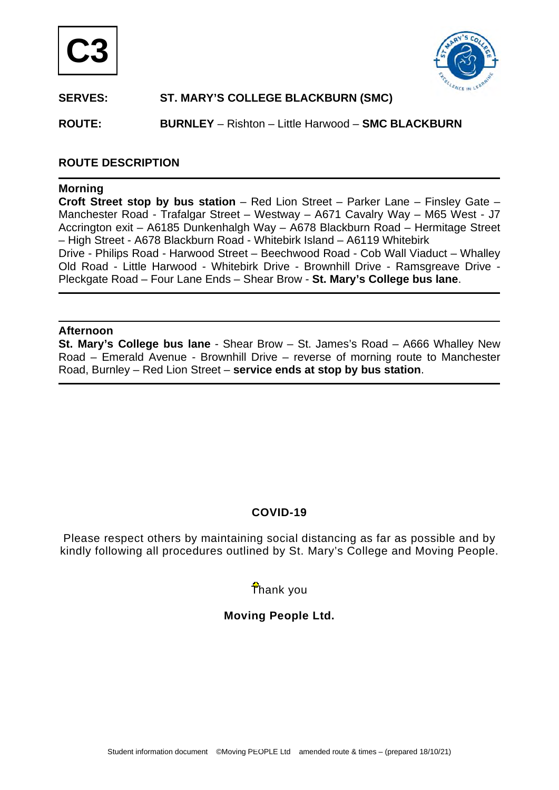



## **SERVES: ST. MARY'S COLLEGE BLACKBURN (SMC)**

**ROUTE: BURNLEY** – Rishton – Little Harwood – **SMC BLACKBURN** 

### **ROUTE DESCRIPTION**

#### **Morning**

**Croft Street stop by bus station** – Red Lion Street – Parker Lane – Finsley Gate – Manchester Road - Trafalgar Street – Westway – A671 Cavalry Way – M65 West - J7 Accrington exit – A6185 Dunkenhalgh Way – A678 Blackburn Road – Hermitage Street – High Street - A678 Blackburn Road - Whitebirk Island – A6119 Whitebirk Drive - Philips Road - Harwood Street – Beechwood Road - Cob Wall Viaduct – Whalley Old Road - Little Harwood - Whitebirk Drive - Brownhill Drive - Ramsgreave Drive -

Pleckgate Road – Four Lane Ends – Shear Brow - **St. Mary's College bus lane**.

#### **Afternoon**

**St. Mary's College bus lane** - Shear Brow – St. James's Road – A666 Whalley New Road – Emerald Avenue - Brownhill Drive – reverse of morning route to Manchester Road, Burnley – Red Lion Street – **service ends at stop by bus station**.

## **COVID-19**

Please respect others by maintaining social distancing as far as possible and by kindly following all procedures outlined by St. Mary's College and Moving People.

# Thank you

## **Moving People Ltd.**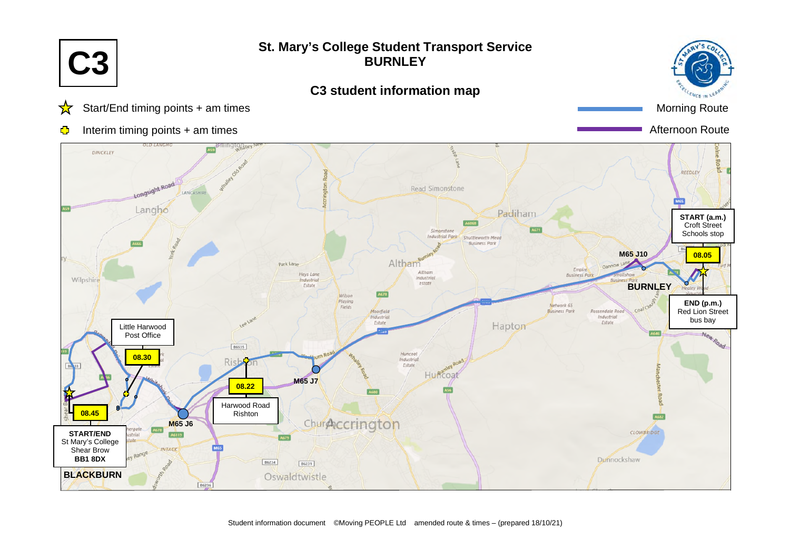